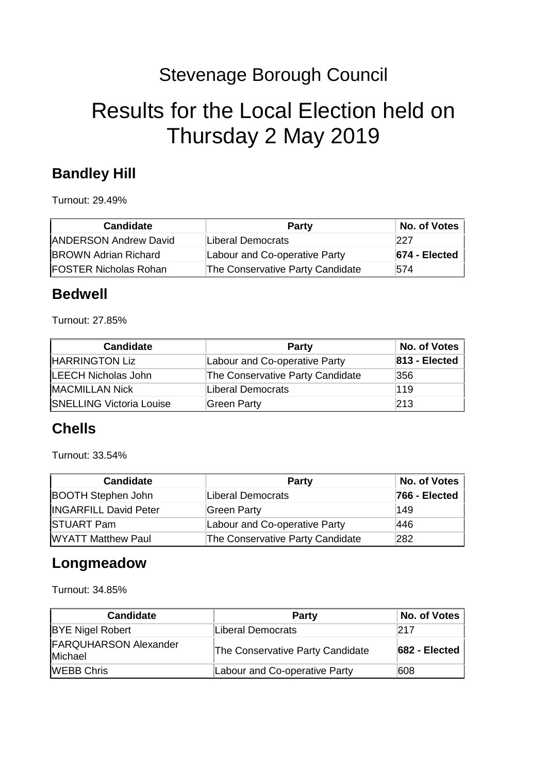## Stevenage Borough Council

# Results for the Local Election held on Thursday 2 May 2019

#### **Bandley Hill**

Turnout: 29.49%

| <b>Candidate</b>             | <b>Party</b>                     | No. of Votes      |
|------------------------------|----------------------------------|-------------------|
| <b>ANDERSON Andrew David</b> | Liberal Democrats                | 227               |
| <b>BROWN Adrian Richard</b>  | Labour and Co-operative Party    | $ 674 - E $ ected |
| <b>FOSTER Nicholas Rohan</b> | The Conservative Party Candidate | 574               |

#### **Bedwell**

Turnout: 27.85%

| <b>Candidate</b>                | <b>Party</b>                     | No. of Votes  |
|---------------------------------|----------------------------------|---------------|
| HARRINGTON Liz                  | Labour and Co-operative Party    | 813 - Elected |
| LEECH Nicholas John             | The Conservative Party Candidate | 356           |
| <b>MACMILLAN Nick</b>           | Liberal Democrats                | 119           |
| <b>SNELLING Victoria Louise</b> | Green Party                      | 213           |

#### **Chells**

Turnout: 33.54%

| <b>Candidate</b>             | <b>Party</b>                     | No. of Votes  |
|------------------------------|----------------------------------|---------------|
| <b>BOOTH Stephen John</b>    | Liberal Democrats                | 766 - Elected |
| <b>INGARFILL David Peter</b> | Green Party                      | 149           |
| <b>STUART Pam</b>            | Labour and Co-operative Party    | 446           |
| <b>WYATT Matthew Paul</b>    | The Conservative Party Candidate | 282           |

#### **Longmeadow**

Turnout: 34.85%

| <b>Candidate</b>                        | <b>Party</b>                     | No. of Votes  |
|-----------------------------------------|----------------------------------|---------------|
| <b>BYE Nigel Robert</b>                 | Liberal Democrats                | 217           |
| <b>FARQUHARSON Alexander</b><br>Michael | The Conservative Party Candidate | 682 - Elected |
| <b>WEBB Chris</b>                       | Labour and Co-operative Party    | 608           |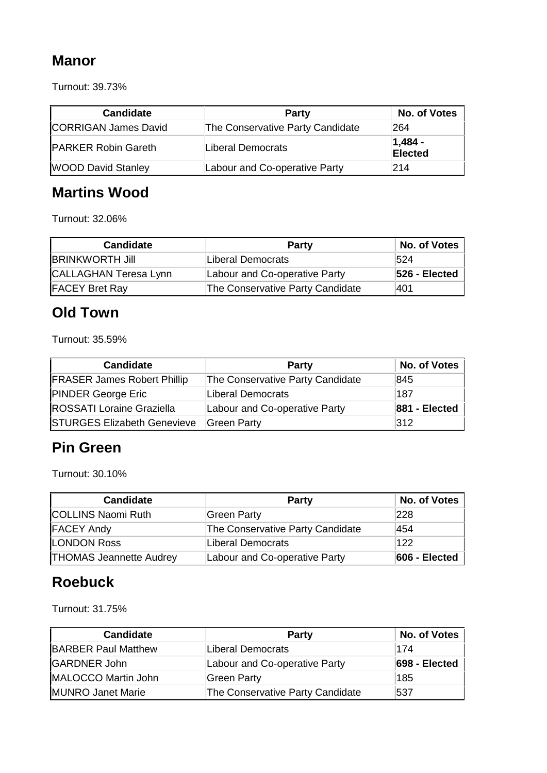### **Manor**

Turnout: 39.73%

| <b>Candidate</b>            | <b>Party</b>                     | No. of Votes                 |
|-----------------------------|----------------------------------|------------------------------|
| <b>CORRIGAN James David</b> | The Conservative Party Candidate | 264                          |
| <b>PARKER Robin Gareth</b>  | Liberal Democrats                | $ 1,484 -$<br><b>Elected</b> |
| <b>WOOD David Stanley</b>   | Labour and Co-operative Party    | 214                          |

## **Martins Wood**

Turnout: 32.06%

| <b>Candidate</b>       | <b>Party</b>                     | No. of Votes  |
|------------------------|----------------------------------|---------------|
| <b>BRINKWORTH Jill</b> | Liberal Democrats                | 524           |
| CALLAGHAN Teresa Lynn  | Labour and Co-operative Party    | 526 - Elected |
| <b>FACEY Bret Ray</b>  | The Conservative Party Candidate | 401           |

## **Old Town**

Turnout: 35.59%

| <b>Candidate</b>                   | Party                            | No. of Votes  |
|------------------------------------|----------------------------------|---------------|
| <b>FRASER James Robert Phillip</b> | The Conservative Party Candidate | 845           |
| <b>PINDER George Eric</b>          | Liberal Democrats                | 187           |
| <b>ROSSATI Loraine Graziella</b>   | Labour and Co-operative Party    | 881 - Elected |
| <b>STURGES Elizabeth Genevieve</b> | Green Party                      | 312           |

#### **Pin Green**

Turnout: 30.10%

| <b>Candidate</b>               | Party                            | No. of Votes  |
|--------------------------------|----------------------------------|---------------|
| <b>COLLINS Naomi Ruth</b>      | Green Party                      | 228           |
| <b>FACEY Andy</b>              | The Conservative Party Candidate | 454           |
| <b>LONDON Ross</b>             | Liberal Democrats                | 122           |
| <b>THOMAS Jeannette Audrey</b> | Labour and Co-operative Party    | 606 - Elected |

#### **Roebuck**

Turnout: 31.75%

| <b>Candidate</b>           | <b>Party</b>                     | No. of Votes  |
|----------------------------|----------------------------------|---------------|
| <b>BARBER Paul Matthew</b> | Liberal Democrats                | 174           |
| <b>GARDNER John</b>        | Labour and Co-operative Party    | 698 - Elected |
| MALOCCO Martin John        | Green Party                      | 185           |
| <b>MUNRO Janet Marie</b>   | The Conservative Party Candidate | 537           |